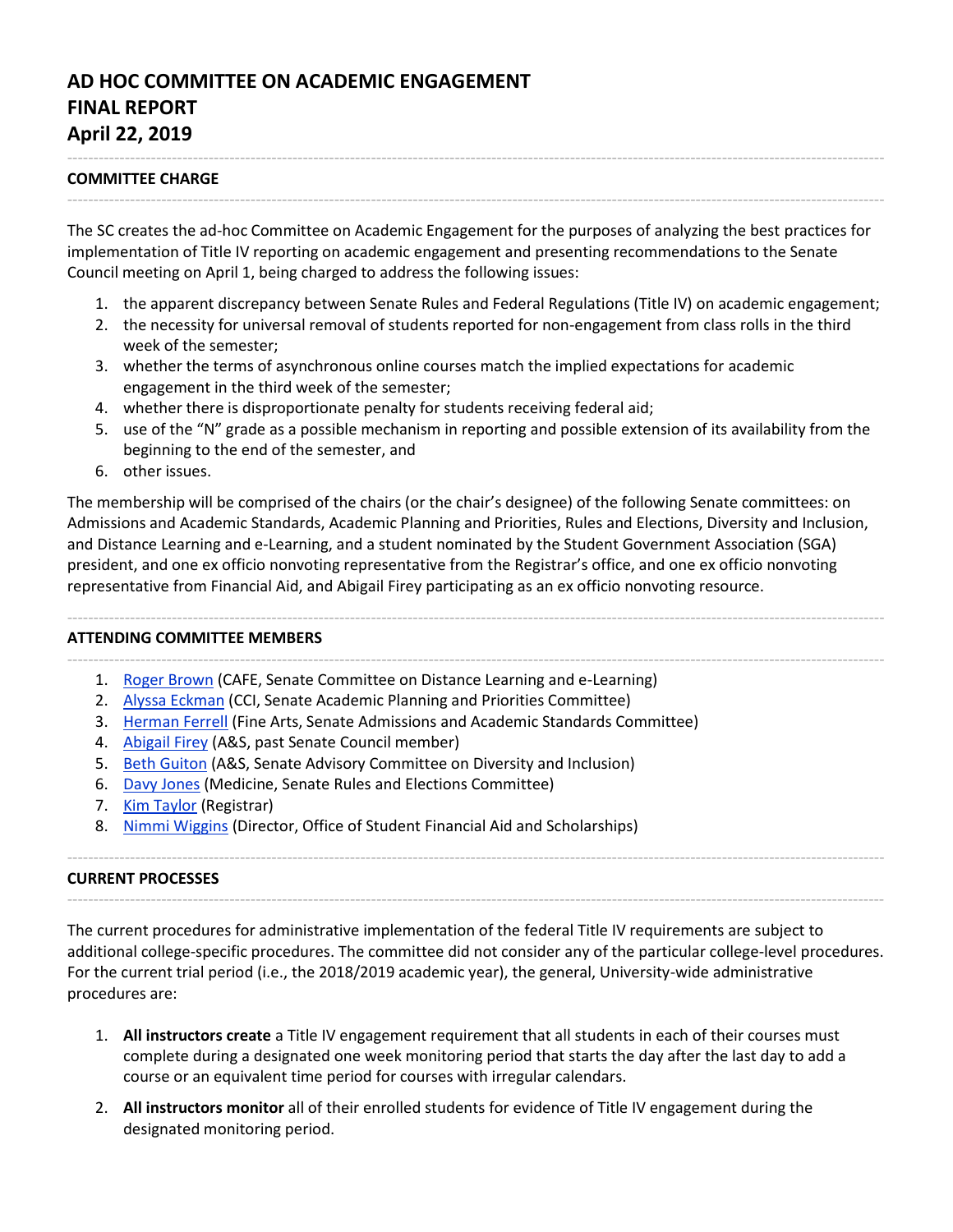# **AD HOC COMMITTEE ON ACADEMIC ENGAGEMENT FINAL REPORT April 22, 2019**

## **COMMITTEE CHARGE**

The SC creates the ad-hoc Committee on Academic Engagement for the purposes of analyzing the best practices for implementation of Title IV reporting on academic engagement and presenting recommendations to the Senate Council meeting on April 1, being charged to address the following issues:

------------------------------------------------------------------------------------------------------------------------------------------------------------

------------------------------------------------------------------------------------------------------------------------------------------------------------

- 1. the apparent discrepancy between Senate Rules and Federal Regulations (Title IV) on academic engagement;
- 2. the necessity for universal removal of students reported for non-engagement from class rolls in the third week of the semester;
- 3. whether the terms of asynchronous online courses match the implied expectations for academic engagement in the third week of the semester;
- 4. whether there is disproportionate penalty for students receiving federal aid;
- 5. use of the "N" grade as a possible mechanism in reporting and possible extension of its availability from the beginning to the end of the semester, and
- 6. other issues.

The membership will be comprised of the chairs (or the chair's designee) of the following Senate committees: on Admissions and Academic Standards, Academic Planning and Priorities, Rules and Elections, Diversity and Inclusion, and Distance Learning and e-Learning, and a student nominated by the Student Government Association (SGA) president, and one ex officio nonvoting representative from the Registrar's office, and one ex officio nonvoting representative from Financial Aid, and Abigail Firey participating as an ex officio nonvoting resource.

------------------------------------------------------------------------------------------------------------------------------------------------------------

## **ATTENDING COMMITTEE MEMBERS**

- ------------------------------------------------------------------------------------------------------------------------------------------------------------ 1. [Roger Brown](http://www.uky.edu/Ag/AgriculturalEconomics/brown_roger.php) (CAFE, Senate Committee on Distance Learning and e-Learning)
	- 2. [Alyssa Eckman](https://ci.uky.edu/grad/contact/eckman/alyssa) (CCI, Senate Academic Planning and Priorities Committee)
	- 3. [Herman Ferrell](https://finearts.uky.edu/theatre-dance/faculty-staff/herman-d-farrell-iii) (Fine Arts, Senate Admissions and Academic Standards Committee)
	- 4. [Abigail Firey](https://history.as.uky.edu/users/afire2/) (A&S, past Senate Council member)
	- 5. Beth [Guiton](https://chem.as.uky.edu/users/bgu222) (A&S, Senate Advisory Committee on Diversity and Inclusion)
	- 6. [Davy Jones](https://toxicology.med.uky.edu/users/djones) (Medicine, Senate Rules and Elections Committee)
	- 7. [Kim Taylor](https://www.uky.edu/registrar/staff-list) (Registrar)
	- 8. [Nimmi Wiggins](https://www.uky.edu/financialaid/staff-directory) (Director, Office of Student Financial Aid and Scholarships)

#### **CURRENT PROCESSES**

The current procedures for administrative implementation of the federal Title IV requirements are subject to additional college-specific procedures. The committee did not consider any of the particular college-level procedures. For the current trial period (i.e., the 2018/2019 academic year), the general, University-wide administrative procedures are:

------------------------------------------------------------------------------------------------------------------------------------------------------------

------------------------------------------------------------------------------------------------------------------------------------------------------------

- 1. **All instructors create** a Title IV engagement requirement that all students in each of their courses must complete during a designated one week monitoring period that starts the day after the last day to add a course or an equivalent time period for courses with irregular calendars.
- 2. **All instructors monitor** all of their enrolled students for evidence of Title IV engagement during the designated monitoring period.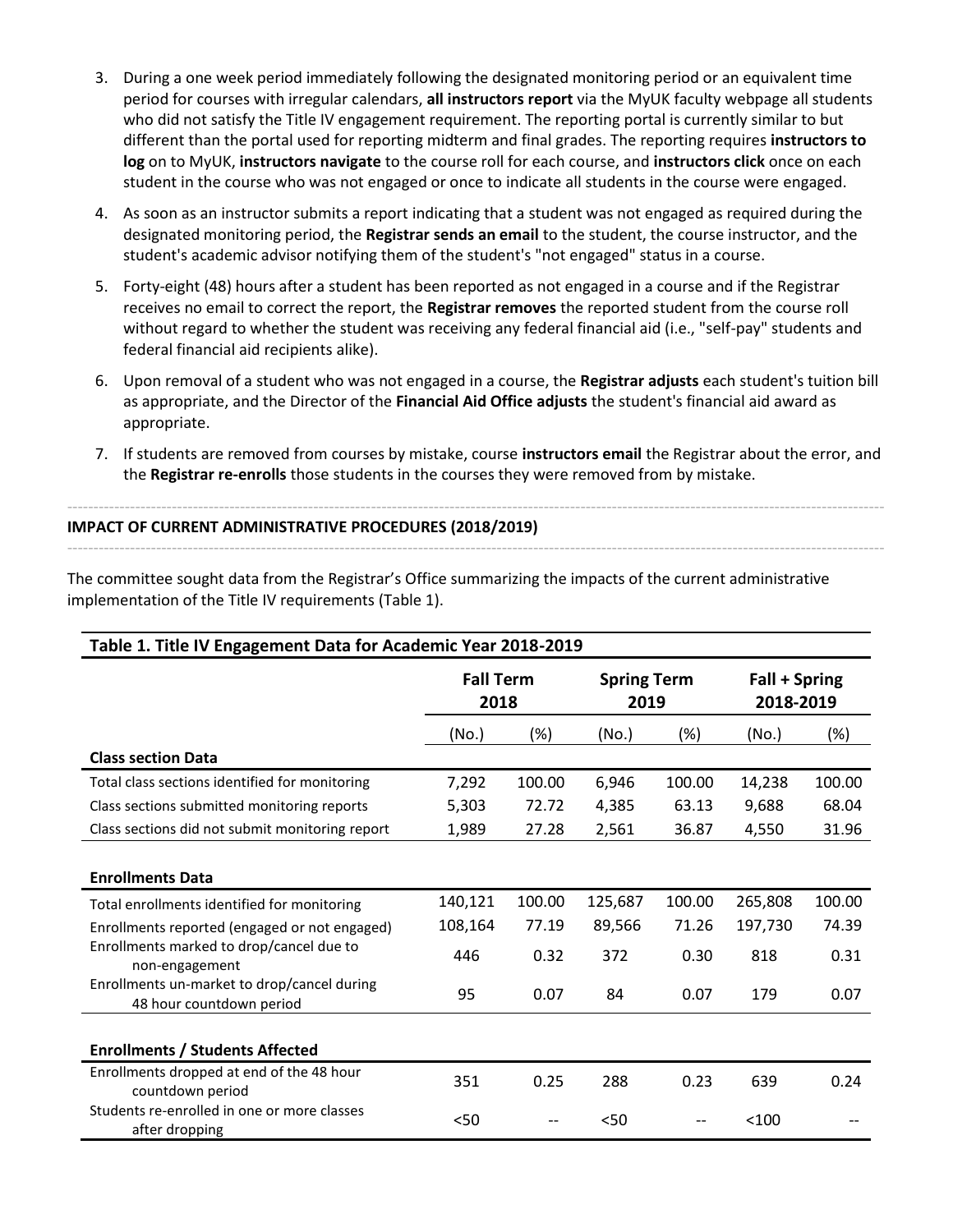- 3. During a one week period immediately following the designated monitoring period or an equivalent time period for courses with irregular calendars, **all instructors report** via the MyUK faculty webpage all students who did not satisfy the Title IV engagement requirement. The reporting portal is currently similar to but different than the portal used for reporting midterm and final grades. The reporting requires **instructors to log** on to MyUK, **instructors navigate** to the course roll for each course, and **instructors click** once on each student in the course who was not engaged or once to indicate all students in the course were engaged.
- 4. As soon as an instructor submits a report indicating that a student was not engaged as required during the designated monitoring period, the **Registrar sends an email** to the student, the course instructor, and the student's academic advisor notifying them of the student's "not engaged" status in a course.
- 5. Forty-eight (48) hours after a student has been reported as not engaged in a course and if the Registrar receives no email to correct the report, the **Registrar removes** the reported student from the course roll without regard to whether the student was receiving any federal financial aid (i.e., "self-pay" students and federal financial aid recipients alike).
- 6. Upon removal of a student who was not engaged in a course, the **Registrar adjusts** each student's tuition bill as appropriate, and the Director of the **Financial Aid Office adjusts** the student's financial aid award as appropriate.
- 7. If students are removed from courses by mistake, course **instructors email** the Registrar about the error, and the **Registrar re-enrolls** those students in the courses they were removed from by mistake.

------------------------------------------------------------------------------------------------------------------------------------------------------------

------------------------------------------------------------------------------------------------------------------------------------------------------------

## **IMPACT OF CURRENT ADMINISTRATIVE PROCEDURES (2018/2019)**

The committee sought data from the Registrar's Office summarizing the impacts of the current administrative implementation of the Title IV requirements (Table 1).

| Table 1. Title IV Engagement Data for Academic Year 2018-2019           |                          |        |                            |        |                            |        |  |
|-------------------------------------------------------------------------|--------------------------|--------|----------------------------|--------|----------------------------|--------|--|
|                                                                         | <b>Fall Term</b><br>2018 |        | <b>Spring Term</b><br>2019 |        | Fall + Spring<br>2018-2019 |        |  |
|                                                                         | (No.)                    | $(\%)$ | (No.)                      | (%)    | (No.)                      | (%)    |  |
| <b>Class section Data</b>                                               |                          |        |                            |        |                            |        |  |
| Total class sections identified for monitoring                          | 7,292                    | 100.00 | 6,946                      | 100.00 | 14,238                     | 100.00 |  |
| Class sections submitted monitoring reports                             | 5,303                    | 72.72  | 4,385                      | 63.13  | 9,688                      | 68.04  |  |
| Class sections did not submit monitoring report                         | 1,989                    | 27.28  | 2,561                      | 36.87  | 4,550                      | 31.96  |  |
| <b>Enrollments Data</b>                                                 |                          |        |                            |        |                            |        |  |
| Total enrollments identified for monitoring                             | 140,121                  | 100.00 | 125,687                    | 100.00 | 265,808                    | 100.00 |  |
| Enrollments reported (engaged or not engaged)                           | 108,164                  | 77.19  | 89,566                     | 71.26  | 197,730                    | 74.39  |  |
| Enrollments marked to drop/cancel due to<br>non-engagement              | 446                      | 0.32   | 372                        | 0.30   | 818                        | 0.31   |  |
| Enrollments un-market to drop/cancel during<br>48 hour countdown period | 95                       | 0.07   | 84                         | 0.07   | 179                        | 0.07   |  |
| <b>Enrollments / Students Affected</b>                                  |                          |        |                            |        |                            |        |  |
| Enrollments dropped at end of the 48 hour<br>countdown period           | 351                      | 0.25   | 288                        | 0.23   | 639                        | 0.24   |  |
| Students re-enrolled in one or more classes<br>after dropping           | < 50                     |        | 50<                        |        | < 100                      |        |  |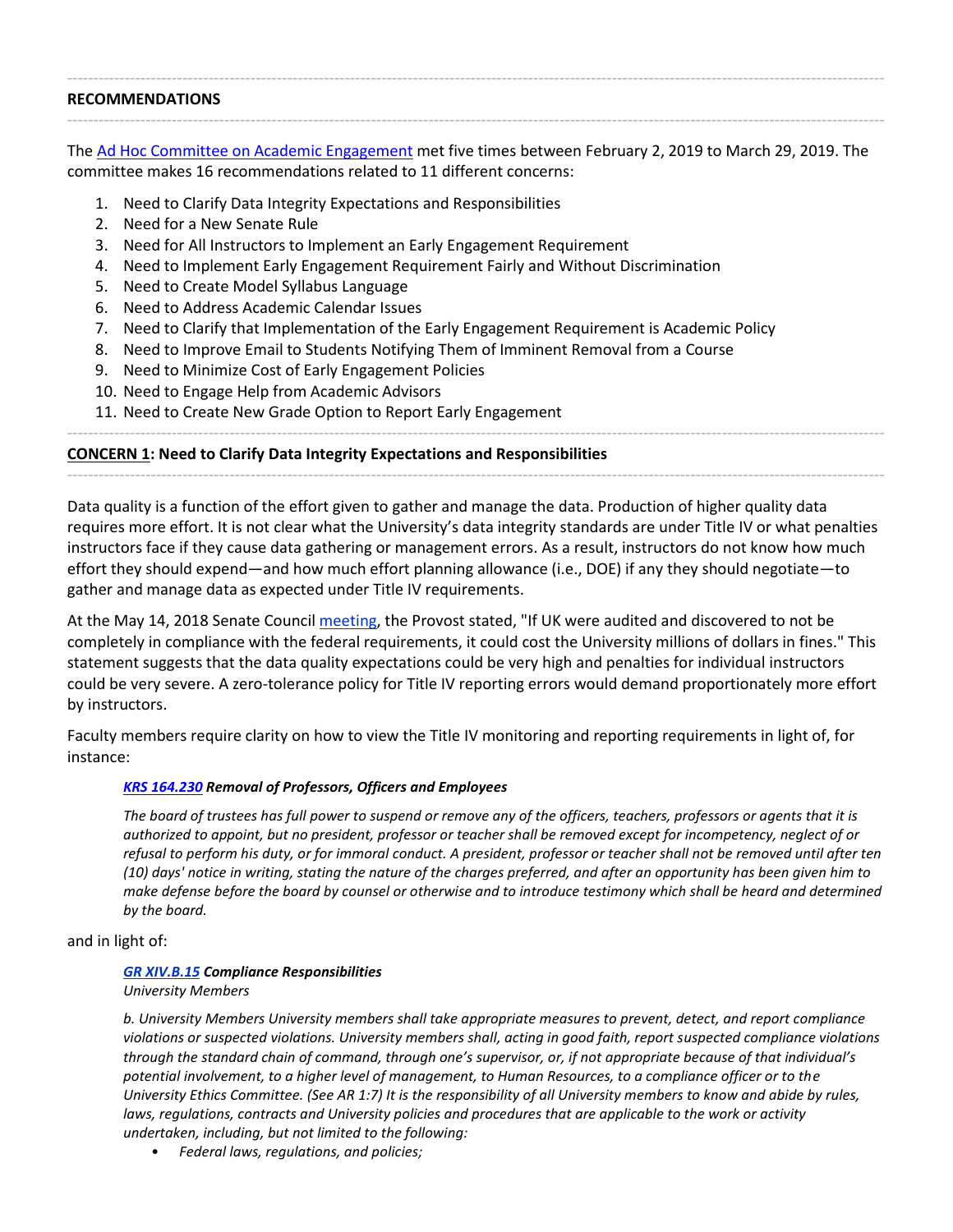| <b>RECOMMENDATIONS</b> |  |  |  |  |  |  |  |  |  |  |  |
|------------------------|--|--|--|--|--|--|--|--|--|--|--|
|                        |  |  |  |  |  |  |  |  |  |  |  |

The [Ad Hoc Committee on Academic](https://sites.google.com/a/g.uky.edu/titleiv/home) Engagement met five times between February 2, 2019 to March 29, 2019. The committee makes 16 recommendations related to 11 different concerns:

- 1. Need to Clarify Data Integrity Expectations and Responsibilities
- 2. Need for a New Senate Rule
- 3. Need for All Instructors to Implement an Early Engagement Requirement
- 4. Need to Implement Early Engagement Requirement Fairly and Without Discrimination
- 5. Need to Create Model Syllabus Language
- 6. Need to Address Academic Calendar Issues
- 7. Need to Clarify that Implementation of the Early Engagement Requirement is Academic Policy
- 8. Need to Improve Email to Students Notifying Them of Imminent Removal from a Course
- 9. Need to Minimize Cost of Early Engagement Policies
- 10. Need to Engage Help from Academic Advisors
- 11. Need to Create New Grade Option to Report Early Engagement

## **CONCERN 1: Need to Clarify Data Integrity Expectations and Responsibilities**

Data quality is a function of the effort given to gather and manage the data. Production of higher quality data requires more effort. It is not clear what the University's data integrity standards are under Title IV or what penalties instructors face if they cause data gathering or management errors. As a result, instructors do not know how much effort they should expend—and how much effort planning allowance (i.e., DOE) if any they should negotiate—to gather and manage data as expected under Title IV requirements.

------------------------------------------------------------------------------------------------------------------------------------------------------------

------------------------------------------------------------------------------------------------------------------------------------------------------------

At the May 14, 2018 Senate Council [meeting,](https://www.uky.edu/universitysenate/council/2018-05-14) the Provost stated, "If UK were audited and discovered to not be completely in compliance with the federal requirements, it could cost the University millions of dollars in fines." This statement suggests that the data quality expectations could be very high and penalties for individual instructors could be very severe. A zero-tolerance policy for Title IV reporting errors would demand proportionately more effort by instructors.

Faculty members require clarity on how to view the Title IV monitoring and reporting requirements in light of, for instance:

## *[KRS 164.230](https://apps.legislature.ky.gov/law/statutes/statute.aspx?id=4223) Removal of Professors, Officers and Employees*

*The board of trustees has full power to suspend or remove any of the officers, teachers, professors or agents that it is authorized to appoint, but no president, professor or teacher shall be removed except for incompetency, neglect of or refusal to perform his duty, or for immoral conduct. A president, professor or teacher shall not be removed until after ten (10) days' notice in writing, stating the nature of the charges preferred, and after an opportunity has been given him to make defense before the board by counsel or otherwise and to introduce testimony which shall be heard and determined by the board.*

and in light of:

## *[GR XIV.B.15](http://www.uky.edu/regs/sites/www.uky.edu.regs/files/files/gr/gr14.pdf) Compliance Responsibilities*

*University Members*

*b. University Members University members shall take appropriate measures to prevent, detect, and report compliance violations or suspected violations. University members shall, acting in good faith, report suspected compliance violations through the standard chain of command, through one's supervisor, or, if not appropriate because of that individual's potential involvement, to a higher level of management, to Human Resources, to a compliance officer or to the University Ethics Committee. (See AR 1:7) It is the responsibility of all University members to know and abide by rules,*  laws, regulations, contracts and University policies and procedures that are applicable to the work or activity *undertaken, including, but not limited to the following:*

• *Federal laws, regulations, and policies;*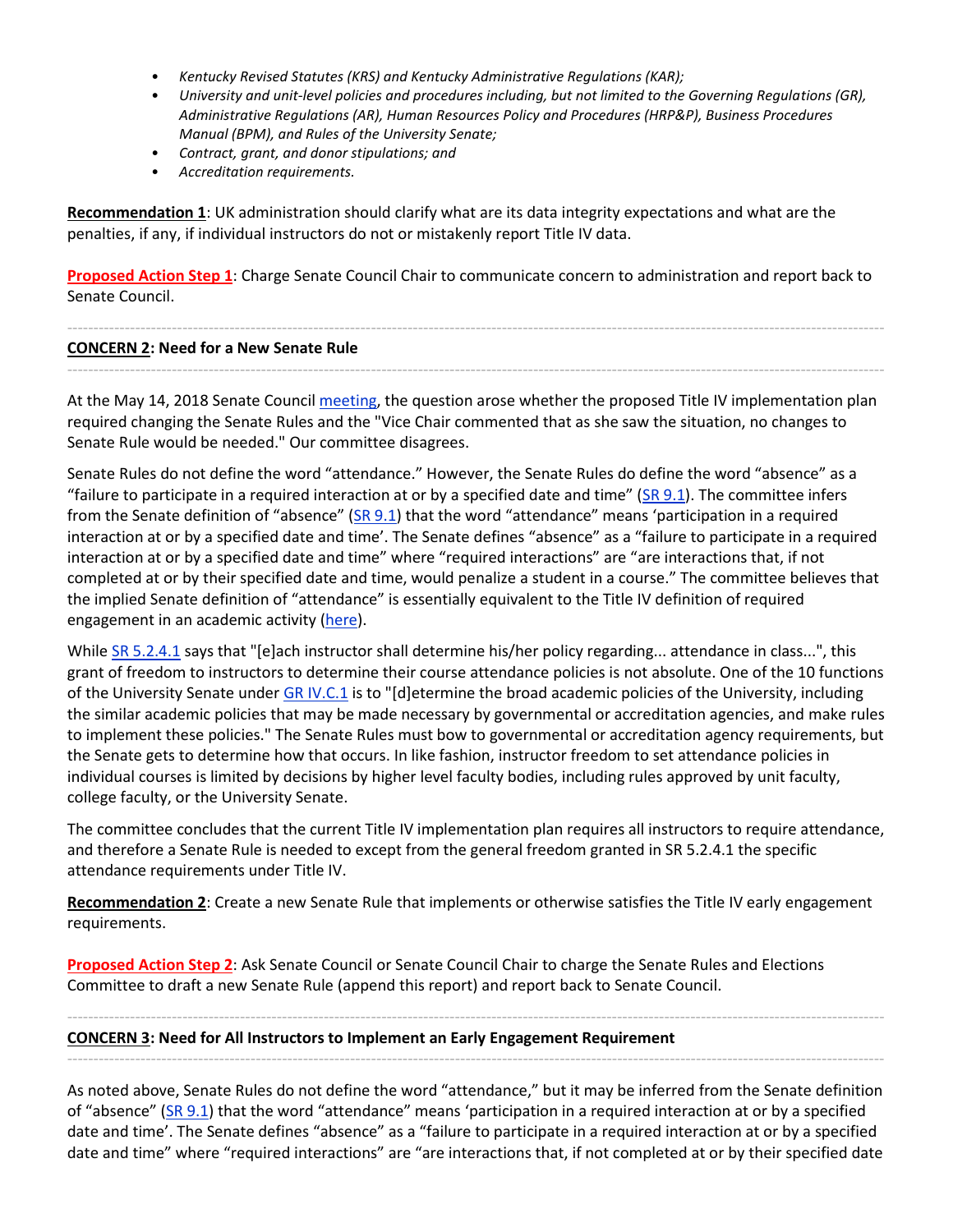- *Kentucky Revised Statutes (KRS) and Kentucky Administrative Regulations (KAR);*
- *University and unit-level policies and procedures including, but not limited to the Governing Regulations (GR), Administrative Regulations (AR), Human Resources Policy and Procedures (HRP&P), Business Procedures Manual (BPM), and Rules of the University Senate;*
- *Contract, grant, and donor stipulations; and*
- *Accreditation requirements.*

**Recommendation 1**: UK administration should clarify what are its data integrity expectations and what are the penalties, if any, if individual instructors do not or mistakenly report Title IV data.

**Proposed Action Step 1**: Charge Senate Council Chair to communicate concern to administration and report back to Senate Council.

#### ------------------------------------------------------------------------------------------------------------------------------------------------------------ **CONCERN 2: Need for a New Senate Rule**

At the May 14, 2018 Senate Council [meeting,](https://www.uky.edu/universitysenate/council/2018-05-14) the question arose whether the proposed Title IV implementation plan required changing the Senate Rules and the "Vice Chair commented that as she saw the situation, no changes to Senate Rule would be needed." Our committee disagrees.

------------------------------------------------------------------------------------------------------------------------------------------------------------

Senate Rules do not define the word "attendance." However, the Senate Rules do define the word "absence" as a "failure to participate in a required interaction at or by a specified date and time" ( $\text{SR } 9.1$ ). The committee infers from the Senate definition of "absence" ([SR 9.1](https://drive.google.com/file/d/1U6PdWB5ea47d4wtXN9E3t_MI2G5Zhffj/view?usp=sharing)) that the word "attendance" means 'participation in a required interaction at or by a specified date and time'. The Senate defines "absence" as a "failure to participate in a required interaction at or by a specified date and time" where "required interactions" are "are interactions that, if not completed at or by their specified date and time, would penalize a student in a course." The committee believes that the implied Senate definition of "attendance" is essentially equivalent to the Title IV definition of required engagement in an academic activity [\(here\)](https://drive.google.com/file/d/10GV7JjaseIZQFNVSUAplxbUcG8kldXoF/view?usp=sharing).

While [SR 5.2.4.1](https://drive.google.com/file/d/17bD4JARoUv47pnqhJBZFmCnNTaUoQV2Q/view?usp=sharing) says that "[e]ach instructor shall determine his/her policy regarding... attendance in class...", this grant of freedom to instructors to determine their course attendance policies is not absolute. One of the 10 functions of the University Senate under [GR IV.C.1](https://www.uky.edu/regs/sites/www.uky.edu.regs/files/files/gr/gr4.pdf) is to "[d]etermine the broad academic policies of the University, including the similar academic policies that may be made necessary by governmental or accreditation agencies, and make rules to implement these policies." The Senate Rules must bow to governmental or accreditation agency requirements, but the Senate gets to determine how that occurs. In like fashion, instructor freedom to set attendance policies in individual courses is limited by decisions by higher level faculty bodies, including rules approved by unit faculty, college faculty, or the University Senate.

The committee concludes that the current Title IV implementation plan requires all instructors to require attendance, and therefore a Senate Rule is needed to except from the general freedom granted in SR 5.2.4.1 the specific attendance requirements under Title IV.

**Recommendation 2**: Create a new Senate Rule that implements or otherwise satisfies the Title IV early engagement requirements.

**Proposed Action Step 2**: Ask Senate Council or Senate Council Chair to charge the Senate Rules and Elections Committee to draft a new Senate Rule (append this report) and report back to Senate Council.

#### **CONCERN 3: Need for All Instructors to Implement an Early Engagement Requirement**

------------------------------------------------------------------------------------------------------------------------------------------------------------

As noted above, Senate Rules do not define the word "attendance," but it may be inferred from the Senate definition of "absence" ( $SR 9.1$ ) that the word "attendance" means 'participation in a required interaction at or by a specified date and time'. The Senate defines "absence" as a "failure to participate in a required interaction at or by a specified date and time" where "required interactions" are "are interactions that, if not completed at or by their specified date

------------------------------------------------------------------------------------------------------------------------------------------------------------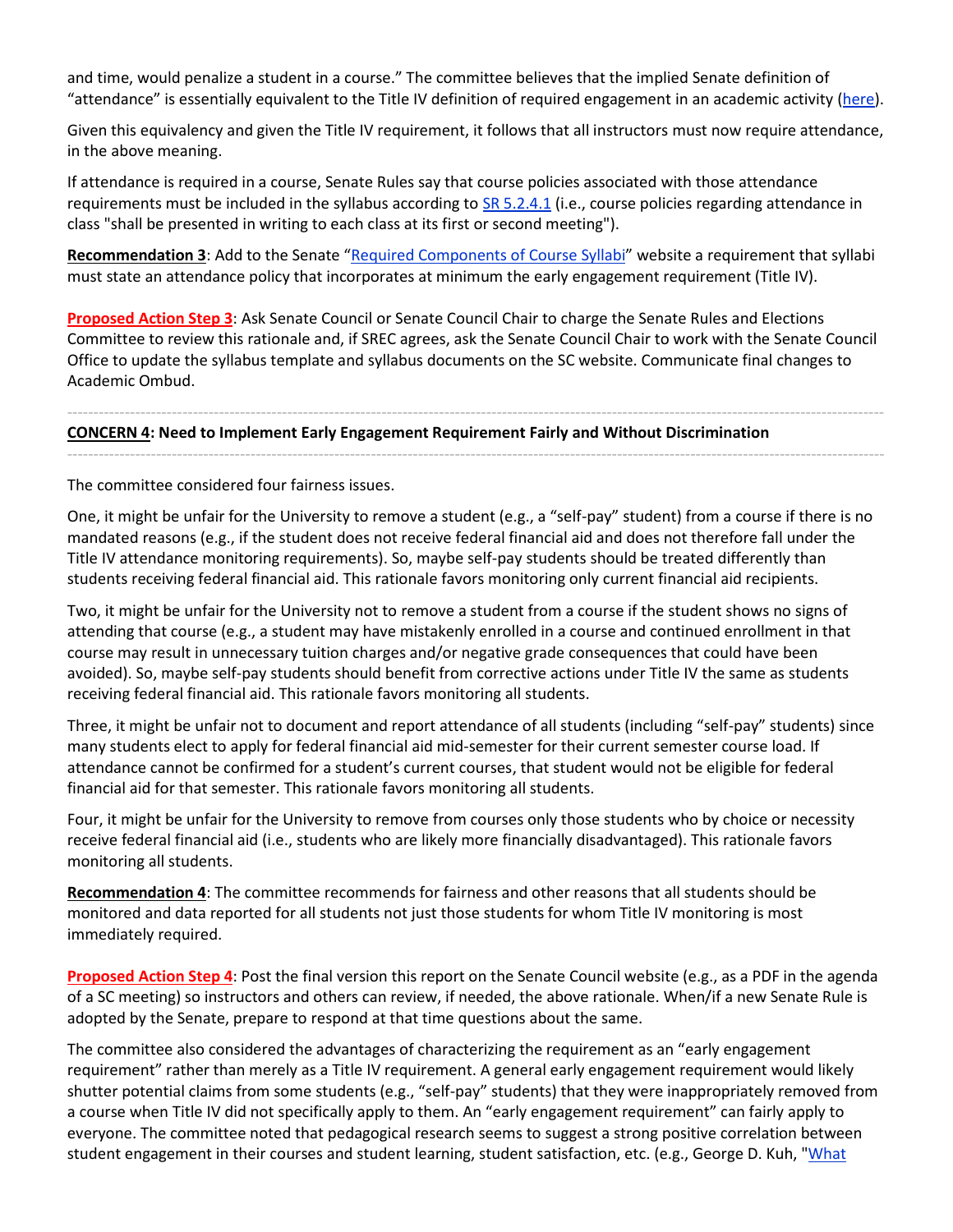and time, would penalize a student in a course." The committee believes that the implied Senate definition of "attendance" is essentially equivalent to the Title IV definition of required engagement in an academic activity [\(here\)](https://drive.google.com/file/d/10GV7JjaseIZQFNVSUAplxbUcG8kldXoF/view?usp=sharing).

Given this equivalency and given the Title IV requirement, it follows that all instructors must now require attendance, in the above meaning.

If attendance is required in a course, Senate Rules say that course policies associated with those attendance requirements must be included in the syllabus according to  $SR 5.2.4.1$  (i.e., course policies regarding attendance in class "shall be presented in writing to each class at its first or second meeting").

**Recommendation 3**: Add to the Senate "[Required Components of Course Syllabi](https://www.uky.edu/universitysenate/required-components-course-syllabi)" website a requirement that syllabi must state an attendance policy that incorporates at minimum the early engagement requirement (Title IV).

**Proposed Action Step 3**: Ask Senate Council or Senate Council Chair to charge the Senate Rules and Elections Committee to review this rationale and, if SREC agrees, ask the Senate Council Chair to work with the Senate Council Office to update the syllabus template and syllabus documents on the SC website. Communicate final changes to Academic Ombud.

------------------------------------------------------------------------------------------------------------------------------------------------------------

------------------------------------------------------------------------------------------------------------------------------------------------------------

### **CONCERN 4: Need to Implement Early Engagement Requirement Fairly and Without Discrimination**

The committee considered four fairness issues.

One, it might be unfair for the University to remove a student (e.g., a "self-pay" student) from a course if there is no mandated reasons (e.g., if the student does not receive federal financial aid and does not therefore fall under the Title IV attendance monitoring requirements). So, maybe self-pay students should be treated differently than students receiving federal financial aid. This rationale favors monitoring only current financial aid recipients.

Two, it might be unfair for the University not to remove a student from a course if the student shows no signs of attending that course (e.g., a student may have mistakenly enrolled in a course and continued enrollment in that course may result in unnecessary tuition charges and/or negative grade consequences that could have been avoided). So, maybe self-pay students should benefit from corrective actions under Title IV the same as students receiving federal financial aid. This rationale favors monitoring all students.

Three, it might be unfair not to document and report attendance of all students (including "self-pay" students) since many students elect to apply for federal financial aid mid-semester for their current semester course load. If attendance cannot be confirmed for a student's current courses, that student would not be eligible for federal financial aid for that semester. This rationale favors monitoring all students.

Four, it might be unfair for the University to remove from courses only those students who by choice or necessity receive federal financial aid (i.e., students who are likely more financially disadvantaged). This rationale favors monitoring all students.

**Recommendation 4**: The committee recommends for fairness and other reasons that all students should be monitored and data reported for all students not just those students for whom Title IV monitoring is most immediately required.

**Proposed Action Step 4**: Post the final version this report on the Senate Council website (e.g., as a PDF in the agenda of a SC meeting) so instructors and others can review, if needed, the above rationale. When/if a new Senate Rule is adopted by the Senate, prepare to respond at that time questions about the same.

The committee also considered the advantages of characterizing the requirement as an "early engagement requirement" rather than merely as a Title IV requirement. A general early engagement requirement would likely shutter potential claims from some students (e.g., "self-pay" students) that they were inappropriately removed from a course when Title IV did not specifically apply to them. An "early engagement requirement" can fairly apply to everyone. The committee noted that pedagogical research seems to suggest a strong positive correlation between student engagement in their courses and student learning, student satisfaction, etc. (e.g., George D. Kuh, "What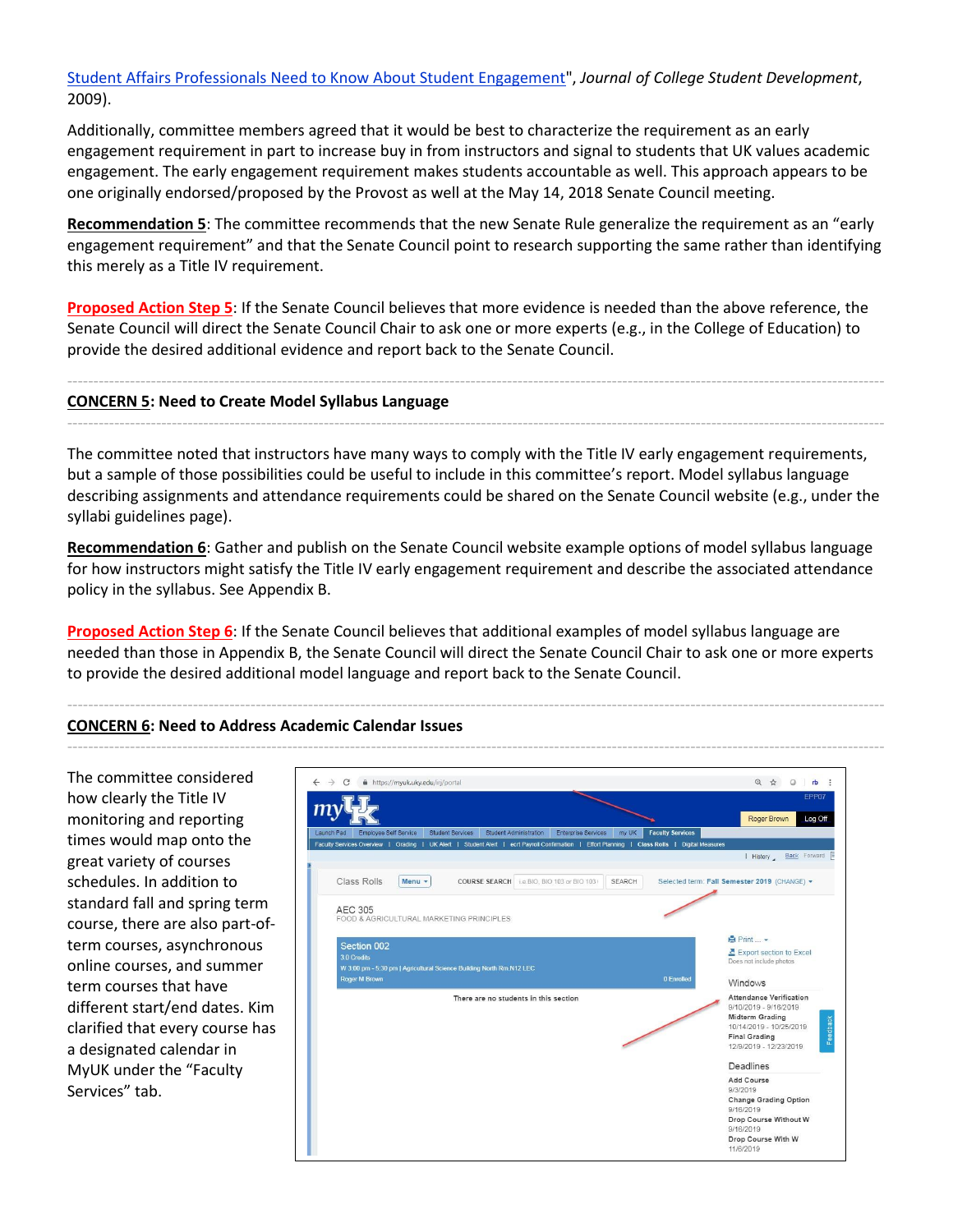[Student Affairs Professionals Need to Know About Student Engagement"](https://muse.jhu.edu/article/364960/summary), *Journal of College Student Development*, 2009).

Additionally, committee members agreed that it would be best to characterize the requirement as an early engagement requirement in part to increase buy in from instructors and signal to students that UK values academic engagement. The early engagement requirement makes students accountable as well. This approach appears to be one originally endorsed/proposed by the Provost as well at the May 14, 2018 Senate Council meeting.

**Recommendation 5**: The committee recommends that the new Senate Rule generalize the requirement as an "early engagement requirement" and that the Senate Council point to research supporting the same rather than identifying this merely as a Title IV requirement.

**Proposed Action Step 5**: If the Senate Council believes that more evidence is needed than the above reference, the Senate Council will direct the Senate Council Chair to ask one or more experts (e.g., in the College of Education) to provide the desired additional evidence and report back to the Senate Council.

------------------------------------------------------------------------------------------------------------------------------------------------------------

------------------------------------------------------------------------------------------------------------------------------------------------------------

#### **CONCERN 5: Need to Create Model Syllabus Language**

The committee noted that instructors have many ways to comply with the Title IV early engagement requirements, but a sample of those possibilities could be useful to include in this committee's report. Model syllabus language describing assignments and attendance requirements could be shared on the Senate Council website (e.g., under the syllabi guidelines page).

**Recommendation 6**: Gather and publish on the Senate Council website example options of model syllabus language for how instructors might satisfy the Title IV early engagement requirement and describe the associated attendance policy in the syllabus. See Appendix B.

**Proposed Action Step 6**: If the Senate Council believes that additional examples of model syllabus language are needed than those in Appendix B, the Senate Council will direct the Senate Council Chair to ask one or more experts to provide the desired additional model language and report back to the Senate Council.

------------------------------------------------------------------------------------------------------------------------------------------------------------

## **CONCERN 6: Need to Address Academic Calendar Issues**

| The committee considered        | https://myuk.uky.edu/irj/portal<br>$\rightarrow$<br>C                                                                                         | ◎ ☆<br>$\circ$<br>rb :                                     |
|---------------------------------|-----------------------------------------------------------------------------------------------------------------------------------------------|------------------------------------------------------------|
| how clearly the Title IV        |                                                                                                                                               | EPP07                                                      |
| monitoring and reporting        | Employee Self Service<br><b>Student Services</b><br>Student Administration<br><b>Enterprise Services</b><br>my UK<br>Launch Pad               | Roger Brown<br>Log Off<br><b>Faculty Services</b>          |
| times would map onto the        | Faculty Services Overview   Grading   UK Alert   Student Alert   ecrt Payroll Confirmation   Effort Planning   Class Rolls   Digital Measures |                                                            |
| great variety of courses        |                                                                                                                                               | I History Back Forward                                     |
| schedules. In addition to       | Class Rolls<br>Menu -<br>i.e.BIO. BIO 103 or BIO 103<br>SEARCH<br><b>COURSE SEARCH</b>                                                        | Selected term: Fall Semester 2019 (CHANGE) -               |
| standard fall and spring term   | <b>AEC 305</b>                                                                                                                                |                                                            |
| course, there are also part-of- | FOOD & AGRICULTURAL MARKETING PRINCIPLES                                                                                                      |                                                            |
| term courses, asynchronous      | Section 002                                                                                                                                   | $Print -$                                                  |
| online courses, and summer      | 3.0 Credits<br>W 3:00 pm - 5:30 pm   Agricultural Science Building North Rm.N12 LEC                                                           | Export section to Excel<br>Does not include photos         |
| term courses that have          | Roger M Brown                                                                                                                                 | 0 Enrolled<br>Windows                                      |
| different start/end dates. Kim  | There are no students in this section                                                                                                         | <b>Attendance Verification</b><br>9/10/2019 - 9/16/2019    |
|                                 |                                                                                                                                               | Midterm Grading<br>10/14/2019 - 10/25/2019                 |
| clarified that every course has |                                                                                                                                               | Feedback<br><b>Final Grading</b><br>12/9/2019 - 12/23/2019 |
| a designated calendar in        |                                                                                                                                               | Deadlines                                                  |
| MyUK under the "Faculty         |                                                                                                                                               | Add Course                                                 |
| Services" tab.                  |                                                                                                                                               | 9/3/2019<br><b>Change Grading Option</b>                   |
|                                 |                                                                                                                                               | 9/16/2019<br>Drop Course Without W                         |
|                                 |                                                                                                                                               | 9/16/2019                                                  |
|                                 |                                                                                                                                               | Drop Course With W<br>11/6/2019                            |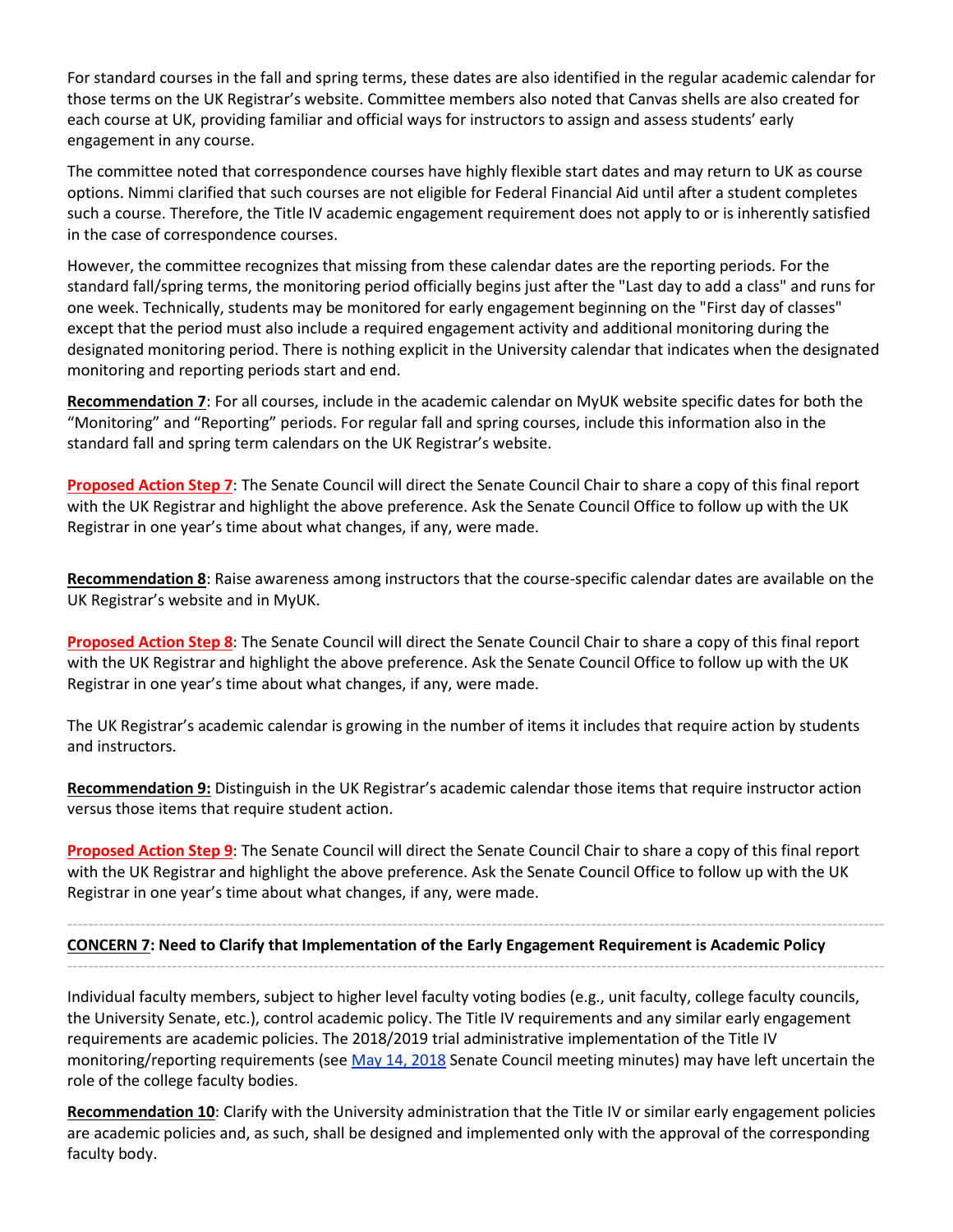For standard courses in the fall and spring terms, these dates are also identified in the regular academic calendar for those terms on the UK Registrar's website. Committee members also noted that Canvas shells are also created for each course at UK, providing familiar and official ways for instructors to assign and assess students' early engagement in any course.

The committee noted that correspondence courses have highly flexible start dates and may return to UK as course options. Nimmi clarified that such courses are not eligible for Federal Financial Aid until after a student completes such a course. Therefore, the Title IV academic engagement requirement does not apply to or is inherently satisfied in the case of correspondence courses.

However, the committee recognizes that missing from these calendar dates are the reporting periods. For the standard fall/spring terms, the monitoring period officially begins just after the "Last day to add a class" and runs for one week. Technically, students may be monitored for early engagement beginning on the "First day of classes" except that the period must also include a required engagement activity and additional monitoring during the designated monitoring period. There is nothing explicit in the University calendar that indicates when the designated monitoring and reporting periods start and end.

**Recommendation 7**: For all courses, include in the academic calendar on MyUK website specific dates for both the "Monitoring" and "Reporting" periods. For regular fall and spring courses, include this information also in the standard fall and spring term calendars on the UK Registrar's website.

**Proposed Action Step 7**: The Senate Council will direct the Senate Council Chair to share a copy of this final report with the UK Registrar and highlight the above preference. Ask the Senate Council Office to follow up with the UK Registrar in one year's time about what changes, if any, were made.

**Recommendation 8**: Raise awareness among instructors that the course-specific calendar dates are available on the UK Registrar's website and in MyUK.

**Proposed Action Step 8**: The Senate Council will direct the Senate Council Chair to share a copy of this final report with the UK Registrar and highlight the above preference. Ask the Senate Council Office to follow up with the UK Registrar in one year's time about what changes, if any, were made.

The UK Registrar's academic calendar is growing in the number of items it includes that require action by students and instructors.

**Recommendation 9:** Distinguish in the UK Registrar's academic calendar those items that require instructor action versus those items that require student action.

**Proposed Action Step 9**: The Senate Council will direct the Senate Council Chair to share a copy of this final report with the UK Registrar and highlight the above preference. Ask the Senate Council Office to follow up with the UK Registrar in one year's time about what changes, if any, were made.

------------------------------------------------------------------------------------------------------------------------------------------------------------ **CONCERN 7: Need to Clarify that Implementation of the Early Engagement Requirement is Academic Policy** ------------------------------------------------------------------------------------------------------------------------------------------------------------

Individual faculty members, subject to higher level faculty voting bodies (e.g., unit faculty, college faculty councils, the University Senate, etc.), control academic policy. The Title IV requirements and any similar early engagement requirements are academic policies. The 2018/2019 trial administrative implementation of the Title IV monitoring/reporting requirements (see [May 14, 2018](https://www.uky.edu/universitysenate/council/2018-05-14) Senate Council meeting minutes) may have left uncertain the role of the college faculty bodies.

**Recommendation 10**: Clarify with the University administration that the Title IV or similar early engagement policies are academic policies and, as such, shall be designed and implemented only with the approval of the corresponding faculty body.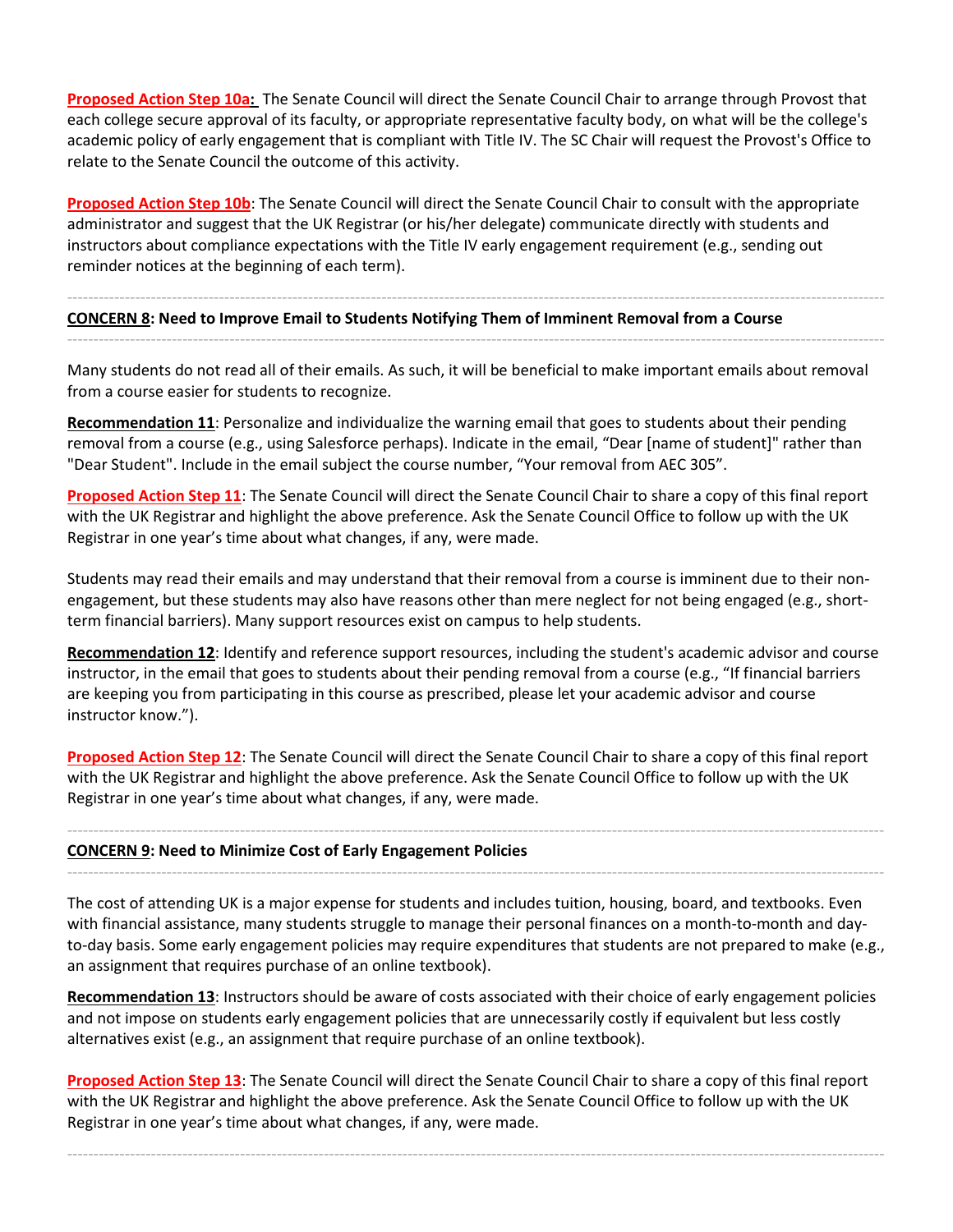**Proposed Action Step 10a:** The Senate Council will direct the Senate Council Chair to arrange through Provost that each college secure approval of its faculty, or appropriate representative faculty body, on what will be the college's academic policy of early engagement that is compliant with Title IV. The SC Chair will request the Provost's Office to relate to the Senate Council the outcome of this activity.

**Proposed Action Step 10b**: The Senate Council will direct the Senate Council Chair to consult with the appropriate administrator and suggest that the UK Registrar (or his/her delegate) communicate directly with students and instructors about compliance expectations with the Title IV early engagement requirement (e.g., sending out reminder notices at the beginning of each term).

#### ------------------------------------------------------------------------------------------------------------------------------------------------------------ **CONCERN 8: Need to Improve Email to Students Notifying Them of Imminent Removal from a Course**

Many students do not read all of their emails. As such, it will be beneficial to make important emails about removal from a course easier for students to recognize.

------------------------------------------------------------------------------------------------------------------------------------------------------------

**Recommendation 11**: Personalize and individualize the warning email that goes to students about their pending removal from a course (e.g., using Salesforce perhaps). Indicate in the email, "Dear [name of student]" rather than "Dear Student". Include in the email subject the course number, "Your removal from AEC 305".

**Proposed Action Step 11**: The Senate Council will direct the Senate Council Chair to share a copy of this final report with the UK Registrar and highlight the above preference. Ask the Senate Council Office to follow up with the UK Registrar in one year's time about what changes, if any, were made.

Students may read their emails and may understand that their removal from a course is imminent due to their nonengagement, but these students may also have reasons other than mere neglect for not being engaged (e.g., shortterm financial barriers). Many support resources exist on campus to help students.

**Recommendation 12**: Identify and reference support resources, including the student's academic advisor and course instructor, in the email that goes to students about their pending removal from a course (e.g., "If financial barriers are keeping you from participating in this course as prescribed, please let your academic advisor and course instructor know.").

**Proposed Action Step 12**: The Senate Council will direct the Senate Council Chair to share a copy of this final report with the UK Registrar and highlight the above preference. Ask the Senate Council Office to follow up with the UK Registrar in one year's time about what changes, if any, were made.

------------------------------------------------------------------------------------------------------------------------------------------------------------

------------------------------------------------------------------------------------------------------------------------------------------------------------

#### **CONCERN 9: Need to Minimize Cost of Early Engagement Policies**

The cost of attending UK is a major expense for students and includes tuition, housing, board, and textbooks. Even with financial assistance, many students struggle to manage their personal finances on a month-to-month and dayto-day basis. Some early engagement policies may require expenditures that students are not prepared to make (e.g., an assignment that requires purchase of an online textbook).

**Recommendation 13**: Instructors should be aware of costs associated with their choice of early engagement policies and not impose on students early engagement policies that are unnecessarily costly if equivalent but less costly alternatives exist (e.g., an assignment that require purchase of an online textbook).

**Proposed Action Step 13**: The Senate Council will direct the Senate Council Chair to share a copy of this final report with the UK Registrar and highlight the above preference. Ask the Senate Council Office to follow up with the UK Registrar in one year's time about what changes, if any, were made.

------------------------------------------------------------------------------------------------------------------------------------------------------------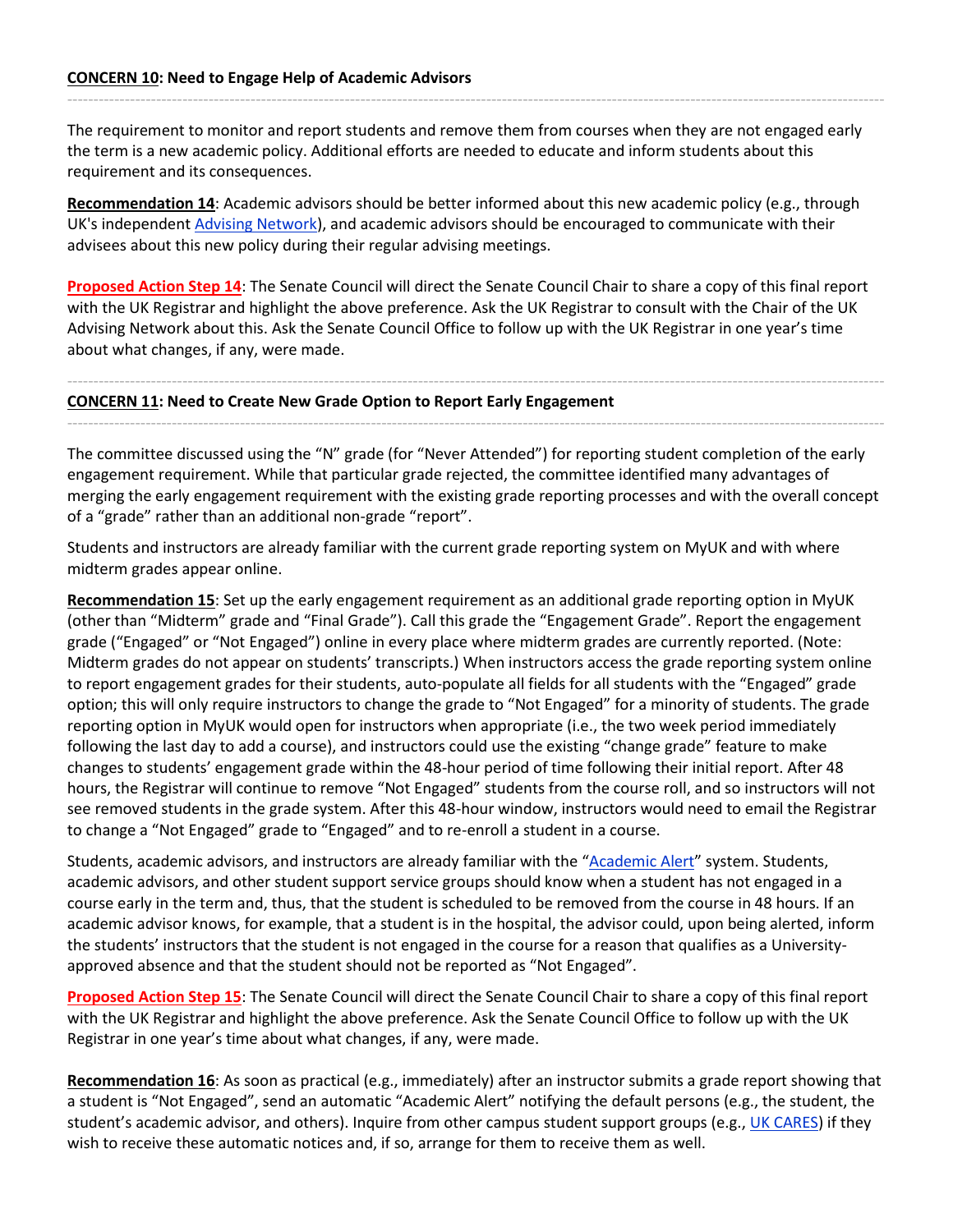The requirement to monitor and report students and remove them from courses when they are not engaged early the term is a new academic policy. Additional efforts are needed to educate and inform students about this requirement and its consequences.

------------------------------------------------------------------------------------------------------------------------------------------------------------

**Recommendation 14**: Academic advisors should be better informed about this new academic policy (e.g., through UK's independent [Advising Network\)](https://www.uky.edu/advisors/node/2061), and academic advisors should be encouraged to communicate with their advisees about this new policy during their regular advising meetings.

**Proposed Action Step 14**: The Senate Council will direct the Senate Council Chair to share a copy of this final report with the UK Registrar and highlight the above preference. Ask the UK Registrar to consult with the Chair of the UK Advising Network about this. Ask the Senate Council Office to follow up with the UK Registrar in one year's time about what changes, if any, were made.

------------------------------------------------------------------------------------------------------------------------------------------------------------

------------------------------------------------------------------------------------------------------------------------------------------------------------

**CONCERN 11: Need to Create New Grade Option to Report Early Engagement** 

The committee discussed using the "N" grade (for "Never Attended") for reporting student completion of the early engagement requirement. While that particular grade rejected, the committee identified many advantages of merging the early engagement requirement with the existing grade reporting processes and with the overall concept of a "grade" rather than an additional non-grade "report".

Students and instructors are already familiar with the current grade reporting system on MyUK and with where midterm grades appear online.

**Recommendation 15**: Set up the early engagement requirement as an additional grade reporting option in MyUK (other than "Midterm" grade and "Final Grade"). Call this grade the "Engagement Grade". Report the engagement grade ("Engaged" or "Not Engaged") online in every place where midterm grades are currently reported. (Note: Midterm grades do not appear on students' transcripts.) When instructors access the grade reporting system online to report engagement grades for their students, auto-populate all fields for all students with the "Engaged" grade option; this will only require instructors to change the grade to "Not Engaged" for a minority of students. The grade reporting option in MyUK would open for instructors when appropriate (i.e., the two week period immediately following the last day to add a course), and instructors could use the existing "change grade" feature to make changes to students' engagement grade within the 48-hour period of time following their initial report. After 48 hours, the Registrar will continue to remove "Not Engaged" students from the course roll, and so instructors will not see removed students in the grade system. After this 48-hour window, instructors would need to email the Registrar to change a "Not Engaged" grade to "Engaged" and to re-enroll a student in a course.

Students, academic advisors, and instructors are already familiar with the "[Academic Alert](https://www.uky.edu/studentacademicsupport/ACT-alert)" system. Students, academic advisors, and other student support service groups should know when a student has not engaged in a course early in the term and, thus, that the student is scheduled to be removed from the course in 48 hours. If an academic advisor knows, for example, that a student is in the hospital, the advisor could, upon being alerted, inform the students' instructors that the student is not engaged in the course for a reason that qualifies as a Universityapproved absence and that the student should not be reported as "Not Engaged".

**Proposed Action Step 15**: The Senate Council will direct the Senate Council Chair to share a copy of this final report with the UK Registrar and highlight the above preference. Ask the Senate Council Office to follow up with the UK Registrar in one year's time about what changes, if any, were made.

**Recommendation 16**: As soon as practical (e.g., immediately) after an instructor submits a grade report showing that a student is "Not Engaged", send an automatic "Academic Alert" notifying the default persons (e.g., the student, the student's academic advisor, and others). Inquire from other campus student support groups (e.g., [UK CARES\)](http://www.uky.edu/cares/) if they wish to receive these automatic notices and, if so, arrange for them to receive them as well.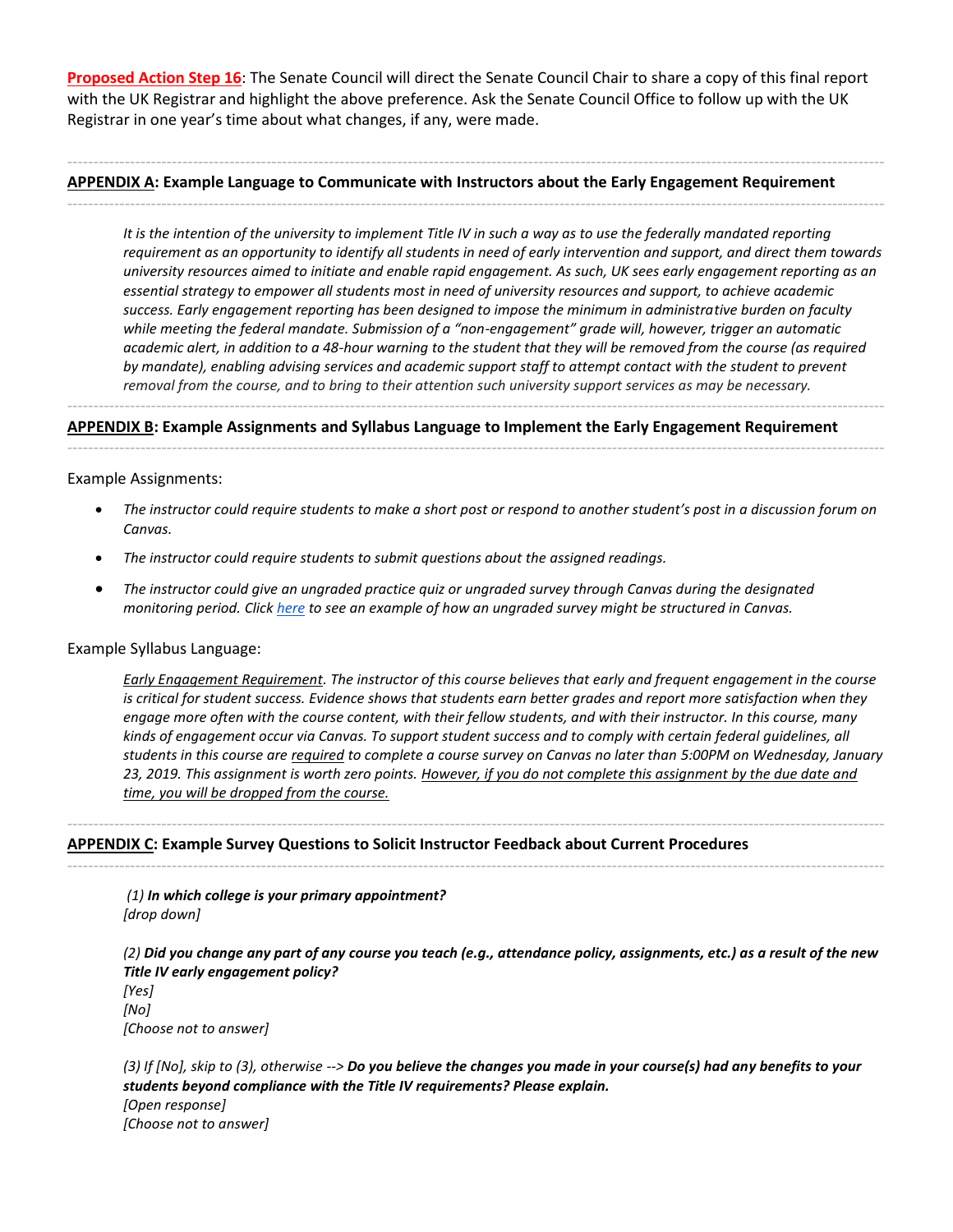**Proposed Action Step 16**: The Senate Council will direct the Senate Council Chair to share a copy of this final report with the UK Registrar and highlight the above preference. Ask the Senate Council Office to follow up with the UK Registrar in one year's time about what changes, if any, were made.

------------------------------------------------------------------------------------------------------------------------------------------------------------

------------------------------------------------------------------------------------------------------------------------------------------------------------

#### **APPENDIX A: Example Language to Communicate with Instructors about the Early Engagement Requirement**

*It is the intention of the university to implement Title IV in such a way as to use the federally mandated reporting requirement as an opportunity to identify all students in need of early intervention and support, and direct them towards university resources aimed to initiate and enable rapid engagement. As such, UK sees early engagement reporting as an essential strategy to empower all students most in need of university resources and support, to achieve academic success. Early engagement reporting has been designed to impose the minimum in administrative burden on faculty while meeting the federal mandate. Submission of a "non-engagement" grade will, however, trigger an automatic academic alert, in addition to a 48-hour warning to the student that they will be removed from the course (as required*  by mandate), enabling advising services and academic support staff to attempt contact with the student to prevent *removal from the course, and to bring to their attention such university support services as may be necessary.*

#### **APPENDIX B: Example Assignments and Syllabus Language to Implement the Early Engagement Requirement**

------------------------------------------------------------------------------------------------------------------------------------------------------------

------------------------------------------------------------------------------------------------------------------------------------------------------------

#### Example Assignments:

- *The instructor could require students to make a short post or respond to another student's post in a discussion forum on Canvas.*
- *The instructor could require students to submit questions about the assigned readings.*
- *The instructor could give an ungraded practice quiz or ungraded survey through Canvas during the designated monitoring period. Click [here](https://drive.google.com/file/d/1dF02X89xi3TJk60Z5OHpA52AIoYNhBwM/view?usp=sharing) to see an example of how an ungraded survey might be structured in Canvas.*

#### Example Syllabus Language:

*Early Engagement Requirement. The instructor of this course believes that early and frequent engagement in the course is critical for student success. Evidence shows that students earn better grades and report more satisfaction when they engage more often with the course content, with their fellow students, and with their instructor. In this course, many kinds of engagement occur via Canvas. To support student success and to comply with certain federal guidelines, all students in this course are required to complete a course survey on Canvas no later than 5:00PM on Wednesday, January 23, 2019. This assignment is worth zero points. However, if you do not complete this assignment by the due date and time, you will be dropped from the course.*

------------------------------------------------------------------------------------------------------------------------------------------------------------

------------------------------------------------------------------------------------------------------------------------------------------------------------

#### **APPENDIX C: Example Survey Questions to Solicit Instructor Feedback about Current Procedures**

*(1) In which college is your primary appointment? [drop down]*

*(2) Did you change any part of any course you teach (e.g., attendance policy, assignments, etc.) as a result of the new Title IV early engagement policy?*

*[Yes] [No] [Choose not to answer]*

*(3) If [No], skip to (3), otherwise --> Do you believe the changes you made in your course(s) had any benefits to your students beyond compliance with the Title IV requirements? Please explain. [Open response] [Choose not to answer]*